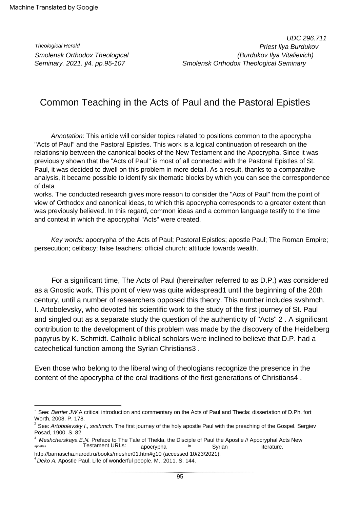Theological Herald Smolensk Orthodox Theological Seminary. 2021. ÿ4. pp.95-107

# Common Teaching in the Acts of Paul and the Pastoral Epistles

Annotation: This article will consider topics related to positions common to the apocrypha "Acts of Paul" and the Pastoral Epistles. This work is a logical continuation of research on the relationship between the canonical books of the New Testament and the Apocrypha. Since it was previously shown that the "Acts of Paul" is most of all connected with the Pastoral Epistles of St. Paul, it was decided to dwell on this problem in more detail. As a result, thanks to a comparative analysis, it became possible to identify six thematic blocks by which you can see the correspondence of data

works. The conducted research gives more reason to consider the "Acts of Paul" from the point of view of Orthodox and canonical ideas, to which this apocrypha corresponds to a greater extent than was previously believed. In this regard, common ideas and a common language testify to the time and context in which the apocryphal "Acts" were created.

Key words: apocrypha of the Acts of Paul; Pastoral Epistles; apostle Paul; The Roman Empire; persecution; celibacy; false teachers; official church; attitude towards wealth.

For a significant time, The Acts of Paul (hereinafter referred to as D.P.) was considered as a Gnostic work. This point of view was quite widespread1 until the beginning of the 20th century, until a number of researchers opposed this theory. This number includes svshmch. I. Artobolevsky, who devoted his scientific work to the study of the first journey of St. Paul and singled out as a separate study the question of the authenticity of "Acts" 2 . A significant contribution to the development of this problem was made by the discovery of the Heidelberg papyrus by K. Schmidt. Catholic biblical scholars were inclined to believe that D.P. had a catechetical function among the Syrian Christians3 .

Even those who belong to the liberal wing of theologians recognize the presence in the content of the apocrypha of the oral traditions of the first generations of Christians4 .

See: Barrier JW A critical introduction and commentary on the Acts of Paul and Thecla: dissertation of D.Ph. fort Worth, 2008. P. 178.

<sup>&</sup>lt;sup>2</sup> See: Artobolevsky I., svshmch. The first journey of the holy apostle Paul with the preaching of the Gospel. Sergiev Posad, 1900. S. 82.

<sup>3</sup> apocrypha in Syrian literature. Syrian apostles. in Meshcherskaya E.N. Preface to The Tale of Thekla, the Disciple of Paul the Apostle // Apocryphal Acts New Testament URLs:

http://barnascha.narod.ru/books/mesher01.htm#g10 (accessed 10/23/2021).

<sup>&</sup>lt;sup>4</sup> Deko A. Apostle Paul. Life of wonderful people. M., 2011. S. 144.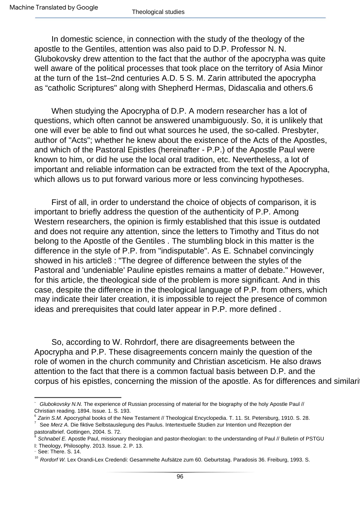In domestic science, in connection with the study of the theology of the apostle to the Gentiles, attention was also paid to D.P. Professor N. N. Glubokovsky drew attention to the fact that the author of the apocrypha was quite well aware of the political processes that took place on the territory of Asia Minor at the turn of the 1st–2nd centuries A.D. 5 S. M. Zarin attributed the apocrypha as "catholic Scriptures" along with Shepherd Hermas, Didascalia and others.6

When studying the Apocrypha of D.P. A modern researcher has a lot of questions, which often cannot be answered unambiguously. So, it is unlikely that one will ever be able to find out what sources he used, the so-called. Presbyter, author of "Acts"; whether he knew about the existence of the Acts of the Apostles, and which of the Pastoral Epistles (hereinafter - P.P.) of the Apostle Paul were known to him, or did he use the local oral tradition, etc. Nevertheless, a lot of important and reliable information can be extracted from the text of the Apocrypha, which allows us to put forward various more or less convincing hypotheses.

First of all, in order to understand the choice of objects of comparison, it is important to briefly address the question of the authenticity of P.P. Among Western researchers, the opinion is firmly established that this issue is outdated and does not require any attention, since the letters to Timothy and Titus do not belong to the Apostle of the Gentiles . The stumbling block in this matter is the difference in the style of P.P. from "indisputable". As E. Schnabel convincingly showed in his article8 : "The degree of difference between the styles of the Pastoral and 'undeniable' Pauline epistles remains a matter of debate." However, for this article, the theological side of the problem is more significant. And in this case, despite the difference in the theological language of P.P. from others, which may indicate their later creation, it is impossible to reject the presence of common ideas and prerequisites that could later appear in P.P. more defined .

So, according to W. Rohrdorf, there are disagreements between the Apocrypha and P.P. These disagreements concern mainly the question of the role of women in the church community and Christian asceticism. He also draws attention to the fact that there is a common factual basis between D.P. and the corpus of his epistles, concerning the mission of the apostle. As for differences and similarities

five Glubokovsky N.N. The experience of Russian processing of material for the biography of the holy Apostle Paul // Christian reading. 1894. Issue. 1. S. 193.

<sup>7</sup>  $6$  Zarin S.M. Apocryphal books of the New Testament // Theological Encyclopedia. T. 11. St. Petersburg, 1910. S. 28. See Merz A. Die fiktive Selbstauslegung des Paulus. Intertextuelle Studien zur Intention und Rezeption der

<sup>8</sup> pastoralbrief. Gottingen, 2004. S. 72.

Schnabel E. Apostle Paul, missionary theologian and pastor-theologian: to the understanding of Paul // Bulletin of PSTGU I: Theology, Philosophy. 2013. Issue. 2. P. 13.

<sup>-</sup> See: There. S. 14.

<sup>&</sup>lt;sup>10</sup> Rordorf W. Lex Orandi-Lex Credendi: Gesammelte Aufsätze zum 60. Geburtstag. Paradosis 36. Freiburg, 1993. S.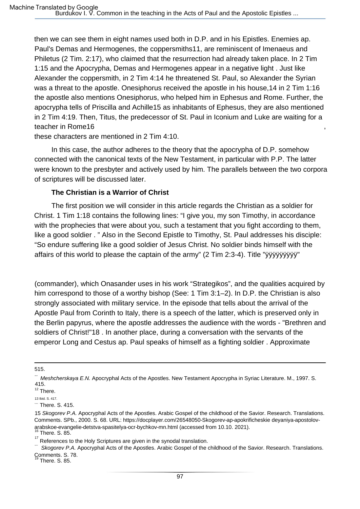then we can see them in eight names used both in D.P. and in his Epistles. Enemies ap. Paul's Demas and Hermogenes, the coppersmiths11, are reminiscent of Imenaeus and Philetus (2 Tim. 2:17), who claimed that the resurrection had already taken place. In 2 Tim 1:15 and the Apocrypha, Demas and Hermogenes appear in a negative light . Just like Alexander the coppersmith, in 2 Tim 4:14 he threatened St. Paul, so Alexander the Syrian was a threat to the apostle. Onesiphorus received the apostle in his house,14 in 2 Tim 1:16 the apostle also mentions Onesiphorus, who helped him in Ephesus and Rome. Further, the apocrypha tells of Priscilla and Achille15 as inhabitants of Ephesus, they are also mentioned in 2 Tim 4:19. Then, Titus, the predecessor of St. Paul in Iconium and Luke are waiting for a teacher in Rome16

these characters are mentioned in 2 Tim 4:10.

In this case, the author adheres to the theory that the apocrypha of D.P. somehow connected with the canonical texts of the New Testament, in particular with P.P. The latter were known to the presbyter and actively used by him. The parallels between the two corpora of scriptures will be discussed later.

#### **The Christian is a Warrior of Christ**

The first position we will consider in this article regards the Christian as a soldier for Christ. 1 Tim 1:18 contains the following lines: "I give you, my son Timothy, in accordance with the prophecies that were about you, such a testament that you fight according to them, like a good soldier . " Also in the Second Epistle to Timothy, St. Paul addresses his disciple: "So endure suffering like a good soldier of Jesus Christ. No soldier binds himself with the affairs of this world to please the captain of the army" (2 Tim 2:3-4). Title "ÿÿÿÿÿÿÿÿÿ"

(commander), which Onasander uses in his work "Strategikos", and the qualities acquired by him correspond to those of a worthy bishop (See: 1 Tim 3:1–2). In D.P. the Christian is also strongly associated with military service. In the episode that tells about the arrival of the Apostle Paul from Corinth to Italy, there is a speech of the latter, which is preserved only in the Berlin papyrus, where the apostle addresses the audience with the words - "Brethren and soldiers of Christ!"18 . In another place, during a conversation with the servants of the emperor Long and Cestus ap. Paul speaks of himself as a fighting soldier . Approximate

There. S. 85.

<sup>515.</sup>

Meshcherskaya E.N. Apocryphal Acts of the Apostles. New Testament Apocrypha in Syriac Literature. M., 1997. S. 415.

<sup>&</sup>lt;sup>12</sup> There. 13 Ibid. S. 417.

 $-$  There. S. 415.

arabskoe-evangelie-detstva-spasitelya-ocr-bychkov-mn.html (accessed from 10.10. 2021).<br><sup>16</sup> There S. 95 15 Skogorev P.A. Apocryphal Acts of the Apostles. Arabic Gospel of the childhood of the Savior. Research. Translations. Comments. SPb., 2000. S. 68. URL: https://docplayer.com/26548050-Skogorev-ap-apokrificheskie deyaniya-apostolov-There. S. 85.

 $17$  References to the Holy Scriptures are given in the synodal translation.

<sup>&</sup>lt;sup>-</sup> Skogorev P.A. Apocryphal Acts of the Apostles. Arabic Gospel of the childhood of the Savior. Research. Translations. Comments. S. 78.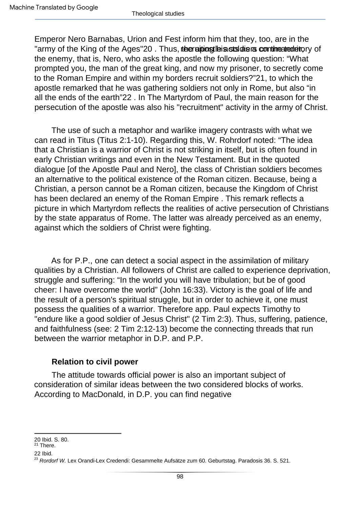Emperor Nero Barnabas, Urion and Fest inform him that they, too, are in the "army of the King of the Ages"20. Thus, the raidios the assistations committed the type of the enemy, that is, Nero, who asks the apostle the following question: "What prompted you, the man of the great king, and now my prisoner, to secretly come to the Roman Empire and within my borders recruit soldiers?"21, to which the apostle remarked that he was gathering soldiers not only in Rome, but also "in all the ends of the earth"22 . In The Martyrdom of Paul, the main reason for the persecution of the apostle was also his "recruitment" activity in the army of Christ.

The use of such a metaphor and warlike imagery contrasts with what we can read in Titus (Titus 2:1-10). Regarding this, W. Rohrdorf noted: "The idea that a Christian is a warrior of Christ is not striking in itself, but is often found in early Christian writings and even in the New Testament. But in the quoted dialogue [of the Apostle Paul and Nero], the class of Christian soldiers becomes an alternative to the political existence of the Roman citizen. Because, being a Christian, a person cannot be a Roman citizen, because the Kingdom of Christ has been declared an enemy of the Roman Empire . This remark reflects a picture in which Martyrdom reflects the realities of active persecution of Christians by the state apparatus of Rome. The latter was already perceived as an enemy, against which the soldiers of Christ were fighting.

As for P.P., one can detect a social aspect in the assimilation of military qualities by a Christian. All followers of Christ are called to experience deprivation, struggle and suffering: "In the world you will have tribulation; but be of good cheer: I have overcome the world" (John 16:33). Victory is the goal of life and the result of a person's spiritual struggle, but in order to achieve it, one must possess the qualities of a warrior. Therefore app. Paul expects Timothy to "endure like a good soldier of Jesus Christ" (2 Tim 2:3). Thus, suffering, patience, and faithfulness (see: 2 Tim 2:12-13) become the connecting threads that run between the warrior metaphor in D.P. and P.P.

# **Relation to civil power**

The attitude towards official power is also an important subject of consideration of similar ideas between the two considered blocks of works. According to MacDonald, in D.P. you can find negative

<sup>20</sup> Ibid. S. 80.

<sup>21</sup> There. 22 Ibid.

<sup>&</sup>lt;sup>23</sup> Rordorf W. Lex Orandi-Lex Credendi: Gesammelte Aufsätze zum 60. Geburtstag. Paradosis 36. S. 521.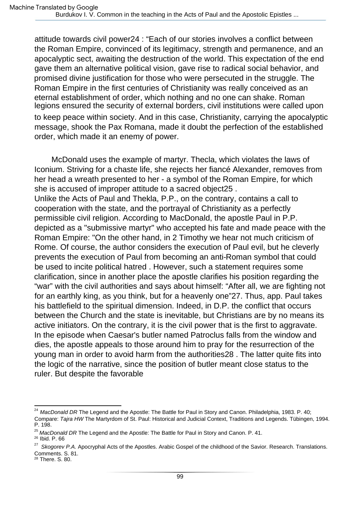attitude towards civil power24 : "Each of our stories involves a conflict between the Roman Empire, convinced of its legitimacy, strength and permanence, and an apocalyptic sect, awaiting the destruction of the world. This expectation of the end gave them an alternative political vision, gave rise to radical social behavior, and promised divine justification for those who were persecuted in the struggle. The Roman Empire in the first centuries of Christianity was really conceived as an eternal establishment of order, which nothing and no one can shake. Roman legions ensured the security of external borders, civil institutions were called upon to keep peace within society. And in this case, Christianity, carrying the apocalyptic message, shook the Pax Romana, made it doubt the perfection of the established order, which made it an enemy of power.

Unlike the Acts of Paul and Thekla, P.P., on the contrary, contains a call to McDonald uses the example of martyr. Thecla, which violates the laws of Iconium. Striving for a chaste life, she rejects her fiancé Alexander, removes from her head a wreath presented to her - a symbol of the Roman Empire, for which she is accused of improper attitude to a sacred object25 . cooperation with the state, and the portrayal of Christianity as a perfectly permissible civil religion. According to MacDonald, the apostle Paul in P.P. depicted as a "submissive martyr" who accepted his fate and made peace with the Roman Empire: "On the other hand, in 2 Timothy we hear not much criticism of Rome. Of course, the author considers the execution of Paul evil, but he cleverly prevents the execution of Paul from becoming an anti-Roman symbol that could be used to incite political hatred . However, such a statement requires some clarification, since in another place the apostle clarifies his position regarding the "war" with the civil authorities and says about himself: "After all, we are fighting not for an earthly king, as you think, but for a heavenly one"27. Thus, app. Paul takes his battlefield to the spiritual dimension. Indeed, in D.P. the conflict that occurs between the Church and the state is inevitable, but Christians are by no means its active initiators. On the contrary, it is the civil power that is the first to aggravate. In the episode when Caesar's butler named Patroclus falls from the window and dies, the apostle appeals to those around him to pray for the resurrection of the young man in order to avoid harm from the authorities28 . The latter quite fits into the logic of the narrative, since the position of butler meant close status to the ruler. But despite the favorable

26 Ibid. P. 66

<sup>24</sup> P. 198. MacDonald DR The Legend and the Apostle: The Battle for Paul in Story and Canon. Philadelphia, 1983. P. 40; Compare: Tajra HW The Martyrdom of St. Paul: Historical and Judicial Context, Traditions and Legends. Tübingen, 1994.

<sup>&</sup>lt;sup>25</sup> MacDonald DR The Legend and the Apostle: The Battle for Paul in Story and Canon. P. 41.

 $27$  Skogorev P.A. Apocryphal Acts of the Apostles. Arabic Gospel of the childhood of the Savior. Research. Translations. Comments. S. 81.

<sup>28</sup> There. S. 80.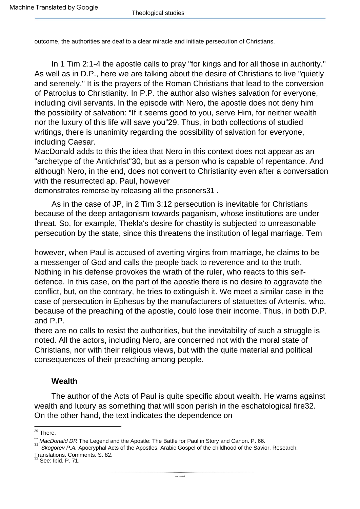outcome, the authorities are deaf to a clear miracle and initiate persecution of Christians.

In 1 Tim 2:1-4 the apostle calls to pray "for kings and for all those in authority." As well as in D.P., here we are talking about the desire of Christians to live "quietly and serenely." It is the prayers of the Roman Christians that lead to the conversion of Patroclus to Christianity. In P.P. the author also wishes salvation for everyone, including civil servants. In the episode with Nero, the apostle does not deny him the possibility of salvation: "If it seems good to you, serve Him, for neither wealth nor the luxury of this life will save you"29. Thus, in both collections of studied writings, there is unanimity regarding the possibility of salvation for everyone, including Caesar.

MacDonald adds to this the idea that Nero in this context does not appear as an "archetype of the Antichrist"30, but as a person who is capable of repentance. And although Nero, in the end, does not convert to Christianity even after a conversation with the resurrected ap. Paul, however

demonstrates remorse by releasing all the prisoners31 .

As in the case of JP, in 2 Tim 3:12 persecution is inevitable for Christians because of the deep antagonism towards paganism, whose institutions are under threat. So, for example, Thekla's desire for chastity is subjected to unreasonable persecution by the state, since this threatens the institution of legal marriage. Tem

however, when Paul is accused of averting virgins from marriage, he claims to be a messenger of God and calls the people back to reverence and to the truth. Nothing in his defense provokes the wrath of the ruler, who reacts to this selfdefence. In this case, on the part of the apostle there is no desire to aggravate the conflict, but, on the contrary, he tries to extinguish it. We meet a similar case in the case of persecution in Ephesus by the manufacturers of statuettes of Artemis, who, because of the preaching of the apostle, could lose their income. Thus, in both D.P. and P.P.

there are no calls to resist the authorities, but the inevitability of such a struggle is noted. All the actors, including Nero, are concerned not with the moral state of Christians, nor with their religious views, but with the quite material and political consequences of their preaching among people.

### **Wealth**

The author of the Acts of Paul is quite specific about wealth. He warns against wealth and luxury as something that will soon perish in the eschatological fire32. On the other hand, the text indicates the dependence on

<sup>&</sup>lt;sup>29</sup> There.

MacDonald DR The Legend and the Apostle: The Battle for Paul in Story and Canon. P. 66.

Translations. Comments. S. 82. Skogorev P.A. Apocryphal Acts of the Apostles. Arabic Gospel of the childhood of the Savior. Research.

See: Ibid. P. 71.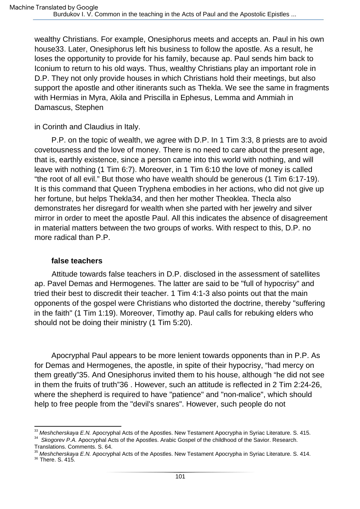wealthy Christians. For example, Onesiphorus meets and accepts an. Paul in his own house33. Later, Onesiphorus left his business to follow the apostle. As a result, he loses the opportunity to provide for his family, because ap. Paul sends him back to Iconium to return to his old ways. Thus, wealthy Christians play an important role in D.P. They not only provide houses in which Christians hold their meetings, but also support the apostle and other itinerants such as Thekla. We see the same in fragments with Hermias in Myra, Akila and Priscilla in Ephesus, Lemma and Ammiah in Damascus, Stephen

in Corinth and Claudius in Italy.

P.P. on the topic of wealth, we agree with D.P. In 1 Tim 3:3, 8 priests are to avoid covetousness and the love of money. There is no need to care about the present age, that is, earthly existence, since a person came into this world with nothing, and will leave with nothing (1 Tim 6:7). Moreover, in 1 Tim 6:10 the love of money is called "the root of all evil." But those who have wealth should be generous (1 Tim 6:17-19). It is this command that Queen Tryphena embodies in her actions, who did not give up her fortune, but helps Thekla34, and then her mother Theoklea. Thecla also demonstrates her disregard for wealth when she parted with her jewelry and silver mirror in order to meet the apostle Paul. All this indicates the absence of disagreement in material matters between the two groups of works. With respect to this, D.P. no more radical than P.P.

### **false teachers**

Attitude towards false teachers in D.P. disclosed in the assessment of satellites ap. Pavel Demas and Hermogenes. The latter are said to be "full of hypocrisy" and tried their best to discredit their teacher. 1 Tim 4:1-3 also points out that the main opponents of the gospel were Christians who distorted the doctrine, thereby "suffering in the faith" (1 Tim 1:19). Moreover, Timothy ap. Paul calls for rebuking elders who should not be doing their ministry (1 Tim 5:20).

Apocryphal Paul appears to be more lenient towards opponents than in P.P. As for Demas and Hermogenes, the apostle, in spite of their hypocrisy, "had mercy on them greatly"35. And Onesiphorus invited them to his house, although "he did not see in them the fruits of truth"36 . However, such an attitude is reflected in 2 Tim 2:24-26, where the shepherd is required to have "patience" and "non-malice", which should help to free people from the "devil's snares". However, such people do not

 $^{33}$  Meshcherskaya E.N. Apocryphal Acts of the Apostles. New Testament Apocrypha in Syriac Literature. S. 415.

<sup>&</sup>lt;sup>34</sup> Skogorev P.A. Apocryphal Acts of the Apostles. Arabic Gospel of the childhood of the Savior. Research. Translations. Comments. S. 64.

<sup>&</sup>lt;sup>35</sup> Meshcherskaya E.N. Apocryphal Acts of the Apostles. New Testament Apocrypha in Syriac Literature. S. 414.

<sup>36</sup> There. S. 415.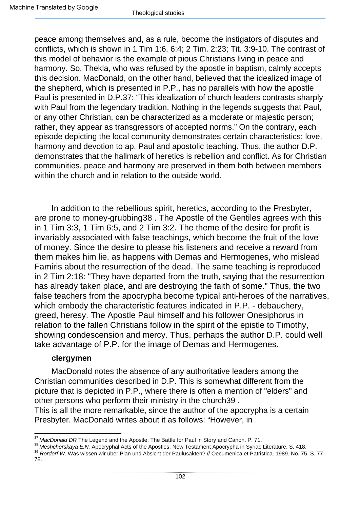peace among themselves and, as a rule, become the instigators of disputes and conflicts, which is shown in 1 Tim 1:6, 6:4; 2 Tim. 2:23; Tit. 3:9-10. The contrast of this model of behavior is the example of pious Christians living in peace and harmony. So, Thekla, who was refused by the apostle in baptism, calmly accepts this decision. MacDonald, on the other hand, believed that the idealized image of the shepherd, which is presented in P.P., has no parallels with how the apostle Paul is presented in D.P.37: "This idealization of church leaders contrasts sharply with Paul from the legendary tradition. Nothing in the legends suggests that Paul, or any other Christian, can be characterized as a moderate or majestic person; rather, they appear as transgressors of accepted norms." On the contrary, each episode depicting the local community demonstrates certain characteristics: love, harmony and devotion to ap. Paul and apostolic teaching. Thus, the author D.P. demonstrates that the hallmark of heretics is rebellion and conflict. As for Christian communities, peace and harmony are preserved in them both between members within the church and in relation to the outside world.

In addition to the rebellious spirit, heretics, according to the Presbyter, are prone to money-grubbing38 . The Apostle of the Gentiles agrees with this in 1 Tim 3:3, 1 Tim 6:5, and 2 Tim 3:2. The theme of the desire for profit is invariably associated with false teachings, which become the fruit of the love of money. Since the desire to please his listeners and receive a reward from them makes him lie, as happens with Demas and Hermogenes, who mislead Famiris about the resurrection of the dead. The same teaching is reproduced in 2 Tim 2:18: "They have departed from the truth, saying that the resurrection has already taken place, and are destroying the faith of some." Thus, the two false teachers from the apocrypha become typical anti-heroes of the narratives, which embody the characteristic features indicated in P.P. - debauchery, greed, heresy. The Apostle Paul himself and his follower Onesiphorus in relation to the fallen Christians follow in the spirit of the epistle to Timothy, showing condescension and mercy. Thus, perhaps the author D.P. could well take advantage of P.P. for the image of Demas and Hermogenes.

# **clergymen**

MacDonald notes the absence of any authoritative leaders among the Christian communities described in D.P. This is somewhat different from the picture that is depicted in P.P., where there is often a mention of "elders" and other persons who perform their ministry in the church39 .

This is all the more remarkable, since the author of the apocrypha is a certain Presbyter. MacDonald writes about it as follows: "However, in

 $37$  MacDonald DR The Legend and the Apostle: The Battle for Paul in Story and Canon. P. 71.

<sup>&</sup>lt;sup>38</sup> Meshcherskaya E.N. Apocryphal Acts of the Apostles. New Testament Apocrypha in Syriac Literature. S. 418.

<sup>&</sup>lt;sup>39</sup> Rordorf W. Was wissen wir über Plan und Absicht der Paulusakten? // Oecumenica et Patristica. 1989. No. 75. S. 77– 78.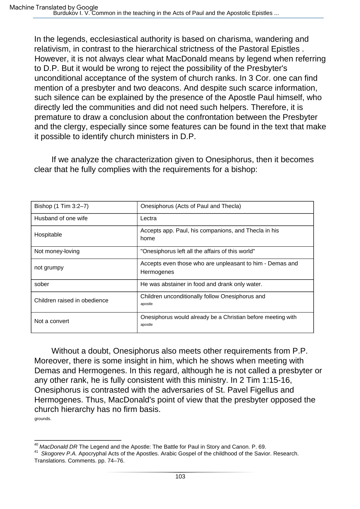However, it is not always clear what MacDonald means by legend when referring to D.P. But it would be wrong to reject the possibility of the Presbyter's unconditional acceptance of the system of church ranks. In 3 Cor. one can find mention of a presbyter and two deacons. And despite such scarce information, such silence can be explained by the presence of the Apostle Paul himself, who directly led the communities and did not need such helpers. Therefore, it is premature to draw a conclusion about the confrontation between the Presbyter and the clergy, especially since some features can be found in the text that make it possible to identify church ministers in D.P. In the legends, ecclesiastical authority is based on charisma, wandering and relativism, in contrast to the hierarchical strictness of the Pastoral Epistles .

If we analyze the characterization given to Onesiphorus, then it becomes clear that he fully complies with the requirements for a bishop:

| Bishop (1 Tim 3:2-7)         | Onesiphorus (Acts of Paul and Thecla)                                   |
|------------------------------|-------------------------------------------------------------------------|
| Husband of one wife          | Lectra                                                                  |
| Hospitable                   | Accepts app. Paul, his companions, and Thecla in his<br>home            |
| Not money-loving             | "Onesiphorus left all the affairs of this world"                        |
| not grumpy                   | Accepts even those who are unpleasant to him - Demas and<br>Hermogenes  |
| sober                        | He was abstainer in food and drank only water.                          |
| Children raised in obedience | Children unconditionally follow Onesiphorus and<br>apostle              |
| Not a convert                | Onesiphorus would already be a Christian before meeting with<br>apostle |

grounds. Without a doubt, Onesiphorus also meets other requirements from P.P. Moreover, there is some insight in him, which he shows when meeting with Demas and Hermogenes. In this regard, although he is not called a presbyter or any other rank, he is fully consistent with this ministry. In 2 Tim 1:15-16, Onesiphorus is contrasted with the adversaries of St. Pavel Figellus and Hermogenes. Thus, MacDonald's point of view that the presbyter opposed the church hierarchy has no firm basis.

<sup>&</sup>lt;sup>40</sup> MacDonald DR The Legend and the Apostle: The Battle for Paul in Story and Canon. P. 69.

<sup>&</sup>lt;sup>41</sup> Skogorev P.A. Apocryphal Acts of the Apostles. Arabic Gospel of the childhood of the Savior. Research. Translations. Comments. pp. 74–76.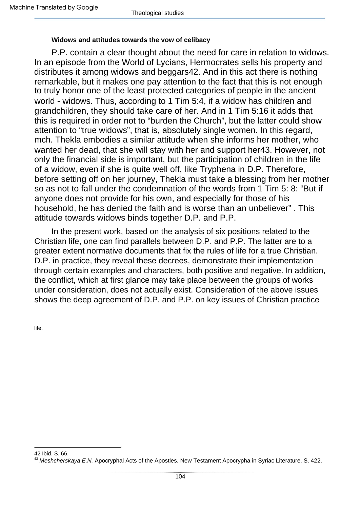#### **Widows and attitudes towards the vow of celibacy**

P.P. contain a clear thought about the need for care in relation to widows. In an episode from the World of Lycians, Hermocrates sells his property and distributes it among widows and beggars42. And in this act there is nothing remarkable, but it makes one pay attention to the fact that this is not enough to truly honor one of the least protected categories of people in the ancient world - widows. Thus, according to 1 Tim 5:4, if a widow has children and grandchildren, they should take care of her. And in 1 Tim 5:16 it adds that this is required in order not to "burden the Church", but the latter could show attention to "true widows", that is, absolutely single women. In this regard, mch. Thekla embodies a similar attitude when she informs her mother, who wanted her dead, that she will stay with her and support her43. However, not only the financial side is important, but the participation of children in the life of a widow, even if she is quite well off, like Tryphena in D.P. Therefore, before setting off on her journey, Thekla must take a blessing from her mother so as not to fall under the condemnation of the words from 1 Tim 5: 8: "But if anyone does not provide for his own, and especially for those of his household, he has denied the faith and is worse than an unbeliever" . This attitude towards widows binds together D.P. and P.P.

In the present work, based on the analysis of six positions related to the Christian life, one can find parallels between D.P. and P.P. The latter are to a greater extent normative documents that fix the rules of life for a true Christian. D.P. in practice, they reveal these decrees, demonstrate their implementation through certain examples and characters, both positive and negative. In addition, the conflict, which at first glance may take place between the groups of works under consideration, does not actually exist. Consideration of the above issues shows the deep agreement of D.P. and P.P. on key issues of Christian practice

life.

<sup>42</sup> Ibid. S. 66.

<sup>&</sup>lt;sup>43</sup> Meshcherskaya E.N. Apocryphal Acts of the Apostles. New Testament Apocrypha in Syriac Literature. S. 422.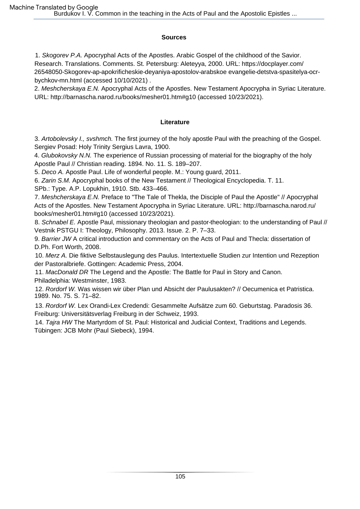#### **Sources**

1. Skogorev P.A. Apocryphal Acts of the Apostles. Arabic Gospel of the childhood of the Savior. Research. Translations. Comments. St. Petersburg: Aleteyya, 2000. URL: https://docplayer.com/ 26548050-Skogorev-ap-apokrificheskie-deyaniya-apostolov-arabskoe evangelie-detstva-spasitelya-ocrbychkov-mn.html (accessed 10/10/2021) .

2. Meshcherskaya E.N. Apocryphal Acts of the Apostles. New Testament Apocrypha in Syriac Literature. URL: http://barnascha.narod.ru/books/mesher01.htm#g10 (accessed 10/23/2021).

#### **Literature**

3. Artobolevsky I., svshmch. The first journey of the holy apostle Paul with the preaching of the Gospel. Sergiev Posad: Holy Trinity Sergius Lavra, 1900.

4. Glubokovsky N.N. The experience of Russian processing of material for the biography of the holy Apostle Paul // Christian reading. 1894. No. 11. S. 189–207.

5. Deco A. Apostle Paul. Life of wonderful people. M.: Young guard, 2011.

6. Zarin S.M. Apocryphal books of the New Testament // Theological Encyclopedia. T. 11.

SPb.: Type. A.P. Lopukhin, 1910. Stb. 433–466.

7. Meshcherskaya E.N. Preface to "The Tale of Thekla, the Disciple of Paul the Apostle" // Apocryphal Acts of the Apostles. New Testament Apocrypha in Syriac Literature. URL: http://barnascha.narod.ru/ books/mesher01.htm#g10 (accessed 10/23/2021).

8. Schnabel E. Apostle Paul, missionary theologian and pastor-theologian: to the understanding of Paul // Vestnik PSTGU I: Theology, Philosophy. 2013. Issue. 2. P. 7–33.

9. Barrier JW A critical introduction and commentary on the Acts of Paul and Thecla: dissertation of D.Ph. Fort Worth, 2008.

10. Merz A. Die fiktive Selbstauslegung des Paulus. Intertextuelle Studien zur Intention und Rezeption der Pastoralbriefe. Gottingen: Academic Press, 2004.

11. MacDonald DR The Legend and the Apostle: The Battle for Paul in Story and Canon. Philadelphia: Westminster, 1983.

12. Rordorf W. Was wissen wir über Plan und Absicht der Paulusakten? // Oecumenica et Patristica. 1989. No. 75. S. 71–82.

13. Rordorf W. Lex Orandi-Lex Credendi: Gesammelte Aufsätze zum 60. Geburtstag. Paradosis 36. Freiburg: Universitätsverlag Freiburg in der Schweiz, 1993.

14. Tajra HW The Martyrdom of St. Paul: Historical and Judicial Context, Traditions and Legends. Tübingen: JCB Mohr (Paul Siebeck), 1994.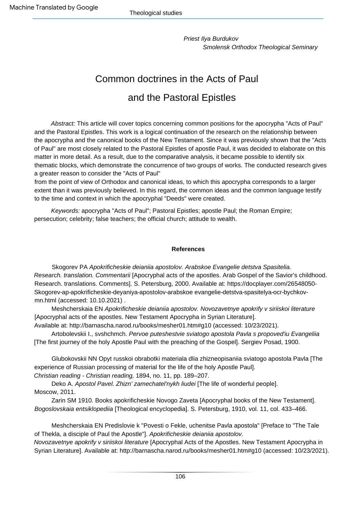Smolensk Orthodox Theological Seminary Priest Ilya Burdukov

# Common doctrines in the Acts of Paul and the Pastoral Epistles

Abstract: This article will cover topics concerning common positions for the apocrypha "Acts of Paul" and the Pastoral Epistles. This work is a logical continuation of the research on the relationship between the apocrypha and the canonical books of the New Testament. Since it was previously shown that the "Acts of Paul" are most closely related to the Pastoral Epistles of apostle Paul, it was decided to elaborate on this matter in more detail. As a result, due to the comparative analysis, it became possible to identify six thematic blocks, which demonstrate the concurrence of two groups of works. The conducted research gives a greater reason to consider the "Acts of Paul"

from the point of view of Orthodox and canonical ideas, to which this apocrypha corresponds to a larger extent than it was previously believed. In this regard, the common ideas and the common language testify to the time and context in which the apocryphal "Deeds" were created.

Keywords: apocrypha "Acts of Paul"; Pastoral Epistles; apostle Paul; the Roman Empire; persecution; celebrity; false teachers; the official church; attitude to wealth.

#### **References**

Research. translation. Commentarii [Apocryphal acts of the apostles. Arab Gospel of the Savior's childhood. Research. translations. Comments]. S. Petersburg, 2000. Available at: https://docplayer.com/26548050- Skogorev-ap-apokrificheskie-deyaniya-apostolov-arabskoe evangelie-detstva-spasitelya-ocr-bychkovmn.html (accessed: 10.10.2021) . Skogorev PA Apokrificheskie deianiia apostolov. Arabskoe Evangelie detstva Spasitelia.

Meshcherskaia EN Apokrificheskie deianiia apostolov. Novozavetnye apokrify v siriiskoi literature [Apocryphal acts of the apostles. New Testament Apocrypha in Syrian Literature].

Available at: http://barnascha.narod.ru/books/mesher01.htm#g10 (accessed: 10/23/2021).

Artobolevskii I., svshchmch. Pervoe puteshestvie sviatogo apostola Pavla s propoved'iu Evangeliia [The first journey of the holy Apostle Paul with the preaching of the Gospel]. Sergiev Posad, 1900.

Glubokovskii NN Opyt russkoi obrabotki materiala dlia zhizneopisaniia sviatogo apostola Pavla [The experience of Russian processing of material for the life of the holy Apostle Paul].

Christian reading - Christian reading, 1894, no. 11, pp. 189–207.

Moscow, 2011. Deko A. Apostol Pavel. Zhizn' zamechatel'nykh liudei [The life of wonderful people].

Zarin SM 1910. Books apokrificheskie Novogo Zaveta [Apocryphal books of the New Testament]. Bogoslovskaia entsiklopediia [Theological encyclopedia]. S. Petersburg, 1910, vol. 11, col. 433–466.

Meshcherskaia EN Predislovie k "Povesti o Fekle, uchenitse Pavla apostola" [Preface to "The Tale of Thekla, a disciple of Paul the Apostle"]. Apokrificheskie deianiia apostolov. Novozavetnye apokrify v siriiskoi literature [Apocryphal Acts of the Apostles. New Testament Apocrypha in Syrian Literature]. Available at: http://barnascha.narod.ru/books/mesher01.htm#g10 (accessed: 10/23/2021).